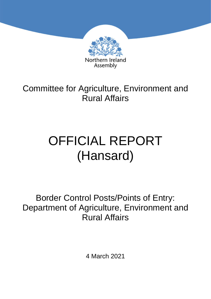

# Committee for Agriculture, Environment and Rural Affairs

# OFFICIAL REPORT (Hansard)

Border Control Posts/Points of Entry: Department of Agriculture, Environment and Rural Affairs

4 March 2021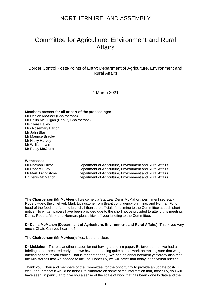### NORTHERN IRELAND ASSEMBLY

## Committee for Agriculture, Environment and Rural **Affairs**

Border Control Posts/Points of Entry: Department of Agriculture, Environment and Rural Affairs

4 March 2021

**Members present for all or part of the proceedings:** Mr Declan McAleer (Chairperson) Mr Philip McGuigan (Deputy Chairperson) Ms Clare Bailey Mrs Rosemary Barton Mr John Blair Mr Maurice Bradley Mr Harry Harvey Mr William Irwin Mr Patsy McGlone

#### **Witnesses:**

Mr Norman Fulton **Department of Agriculture, Environment and Rural Affairs** Mr Robert Huey Department of Agriculture, Environment and Rural Affairs Mr Mark Livingstone **Department of Agriculture, Environment and Rural Affairs** Dr Denis McMahon Department of Agriculture, Environment and Rural Affairs

**The Chairperson (Mr McAleer):** I welcome via StarLeaf Denis McMahon, permanent secretary; Robert Huey, the chief vet; Mark Livingstone from Brexit contingency planning; and Norman Fulton, head of the food and farming branch. I thank the officials for coming to the Committee at such short notice. No written papers have been provided due to the short notice provided to attend this meeting. Denis, Robert, Mark and Norman, please kick off your briefing to the Committee.

**Dr Denis McMahon (Department of Agriculture, Environment and Rural Affairs):** Thank you very much, Chair. Can you hear me?

**The Chairperson (Mr McAleer):** Yes, loud and clear.

**Dr McMahon:** There is another reason for not having a briefing paper. Believe it or not, we had a briefing paper prepared early, and we have been doing quite a bit of work on making sure that we get briefing papers to you earlier. That is for another day. We had an announcement yesterday also that the Minister felt that we needed to include. Hopefully, we will cover that today in the verbal briefing.

Thank you, Chair and members of the Committee, for the opportunity to provide an update post-EU exit. I thought that it would be helpful to elaborate on some of the information that, hopefully, you will have seen, in particular to give you a sense of the scale of work that has been done to date and the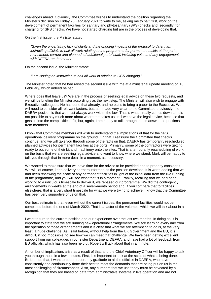challenges ahead. Obviously, the Committee wishes to understand the position regarding the Minister's decision on Friday 26 February 2021 to write to me, asking me to halt, first, work on the development of permanent facilities for sanitary and phytosanitary (SPS) checks and, secondly, for charging for SPS checks. We have not started charging but are in the process of developing that.

On the first issue, the Minister stated:

*"Given the uncertainty, lack of clarity and the ongoing impacts of the protocol to date, I am instructing officials to halt all work relating to the programme for permanent builds at the ports, recruitment, current and planned, of additional portal staff, including vets, and any engagement with DEFRA on the matter."*

On the second issue, the Minister stated:

*"I am issuing an instruction to halt all work in relation to OCR charging."*

The Minister noted that he had raised the second issue with me at a ministerial update meeting on 16 February, which indeed he had.

Where does that leave us? We are in the process of seeking legal advice on these two requests, and we will be briefing the Minister accordingly as the next step. The Minister will also wish to engage with Executive colleagues. He has done that already, and he plans to bring a paper to the Executive. We will need to consider all relevant factors, but, as I made very clear to the Committee previously, the DAERA position is that we must always work within the law. That is what it really comes down to. It is not possible to say much more about where that takes us until we have the legal advice, because that gets us into the complexities of it, but, again, I am happy to talk through that in answer to questions from members.

I know that Committee members will wish to understand the implications of that for the SPS operational delivery programme on the ground. On that, I reassure the Committee that checks continue, and we will take you through some of the facts on that. DAERA has temporarily rescheduled planned activities for permanent facilities at the ports. Primarily, some of the contractors were getting ready to put some of their kit and machinery onto the sites. That is a temporarily rescheduling of work on the basis that we are seeking legal advice and want to know where we stand. Mark will be happy to talk you through that in more detail in a moment, as necessary.

We wanted to make sure that we have time for the advice to be provided and to properly consider it. We will, of course, keep delivery partners informed as the position develops. It is worth adding that we had been reviewing the scale of any permanent facilities in light of the initial data from the live running of the programme, and you will see what that is in a moment. Frankly, recalling that we had been working to a ridiculous timescale to deliver it, we rebased our programme. We did the contingency arrangements in weeks at the end of a seven-month period and, if you compare that to facilities elsewhere, that is a very short timescale for what we were trying to achieve. I know that the Committee has been very supportive of us on that.

Our best estimate is that, even without the current issues, the permanent facilities would not be completed before the end of March 2022. That is a factor of the volumes, which we will talk about in a moment.

I want to turn to the current position and our experience over the last two months. In doing so, it is important to state that we are running new operational arrangements. We are learning every day from the operation of those arrangements and it is clear that what we are attempting to do is, at the very least, a huge challenge. As I said before, without help from the UK Government and the EU, it is difficult, if not impossible, to see how we can meet that challenge. We have been getting excellent support from our colleagues in our sister Department, DEFRA, and have had a lot of feedback from EU officials, which has also been helpful. Robert will talk about that in a minute.

A number of implications arise as a result of that, and the Chief Veterinary Officer will be happy to talk you through those in a few minutes. First, it is important to look at the scale of what is being done. Before I do that, I want to put on record my gratitude to all the officials in DAERA, who have consistently and continuously done their best to meet the demands that are being put on us in the most challenging of circumstances. Also, any numbers that we use today must be caveated by a recognition that they are based on data from administrative systems in live operation and are not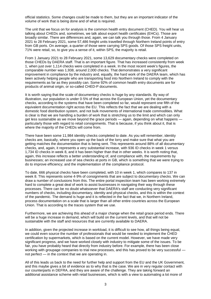official statistics. Some changes could be made to them, but they are an important indicator of the volume of work that is being done and of what is required.

The unit that we focus on for analysis is the common health entry document (CHED). You will hear us talking about CHEDs and, sometimes, we talk about export health certificates (EHCs). Those are broadly similar. There are differences and, again, we can talk you through those. From 4 January 2021 to 28 February 2021, some 57,486 freight units travelled through Northern Ireland points of entry from GB ports. On average, a quarter of those were carrying SPS goods. Of those SPS freight units, 71% were retail, so, to give you a sense of it, within SPS, the majority is retail.

From 1 January 2021 to 28 February 2021, some 13,629 documentary checks were completed on those CHEDs by DAERA staff. That is an important figure. That has increased consistently from week 1, when just over 1,114 checks were completed in a week. In the most recent week's figures, the comparable number was 1,938, around 2,000 checks. That demonstrates a very significant improvement in compliance by the industry and, equally, the hard work of the DAERA team, which has been actively helping people who are transporting food into Northern Ireland to comply with the requirements as far as they possibly can. Some 92% of common health entry documents are for products of animal origin, or so-called CHED-P documents.

It is worth saying that the scale of documentary checks is huge by any standards. By way of illustration, our population is under 0·5% of that across the European Union, yet the documentary checks, according to the systems that have been completed so far, would represent one fifth of the equivalent documentation right across the EU. This reflects the fact that we are dealing with a domestic food distribution system, and not bulk movements of international trade commodities. What is clear is that we are handling a burden of work that is stretching us to the limit and which can only get less sustainable as we move beyond the grace periods — again, depending on what happens  $\frac{1}{2}$ particularly those with regard to retail consignments. That is because, if you think about it, that is where the majority of the CHEDs will come from.

There have been some 11,984 identity checks completed to date. As you will remember, identity checks are, basically, where you open up the back of the lorry and make sure that what you are getting matches the documentation that is being sent. This represents around 88% of all documentary checks, and, again, it represents a very substantial increase, with 936 ID checks in week 1 versus 1,734 ID checks in week 8, and it has been higher than that in other weeks. It is worth noting that, again, this increase reflects a better understanding of, and compliance with, the requirements by businesses; an increased use of sea checks at ports in GB, which is something that we were trying to do to improve efficiency; and the implementation of the compliance protocol.

To date, 666 physical checks have been completed, with 10 in week 1, which compares to 137 in week 8. This represents some 4·9% of consignments that are subject to documentary checks. We can draw a number of conclusions from this. The entire portal inspection team has been working extremely hard to complete a great deal of work to assist businesses in navigating their way through these processes. There can be no doubt whatsoever that DAERA's staff are conducting very significant numbers of checks, including documentary, identity and physical checks, and this is within the context of the pandemic. The demand is huge and it is reflected in the fact that we, in Northern Ireland, process documentation on a scale that is larger than all other entire countries across the European Union. That is according to the traces system that we use.

Furthermore, we are achieving this ahead of a major change when the retail grace period ends. There will be a huge increase in demand, which will build on the current levels, and that will not be sustainable with the staff and resources that are currently available to DAERA.

In addition, given the projected increase in workload, it is difficult to see how, all things being equal, we could even source the number of professionals that would be needed to implement the CHED certification by supermarkets, which is based on the current model. However, we have made very significant progress, and we have worked closely with industry to mitigate some of the issues. To be fair, you have probably heard that directly from industry before. For example, there has been close working with groupage companies to trial new processes, and this has proved to be very successful not perfect — in the context that we are operating in.

All of this leads us back to the need for further help and support from the EU and the UK Government, and this maybe gives a bit of evidence as to why that is the case. We are in very regular contact with our counterparts in DEFRA, and they are aware of the challenge. They are taking forward an additional assistance scheme with retail businesses, which is with a view to automating a lot more of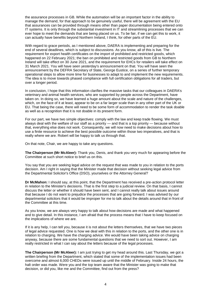the assurance processes in GB. While the automation will be an important factor in the ability to manage the demand, for that approach to be genuinely useful, there will be agreement with the EU that assurances can be provided through means other than paper documentation being entered onto IT systems. It is only through the substantial investment in IT and streamlining processes that we can ever hope to meet the demands that are being placed on us. To be fair, if we can get this to work, it can actually have benefits beyond Northern Ireland, I think, for other parts of the EU.

With regard to grace periods, as I mentioned above, DAERA is implementing and preparing for the end of several deadlines, which is subject to discussions. As you know, all of this is live. The requirement for export health certificates on the import of prohibited and restricted goods, which happened on 22 February 2021; the ban on prohibited and restricted goods from GB to Northern Ireland will take effect on 30 June 2021, and the requirement for EHCs for retailers will take effect on 31 March 2021. You will have seen yesterday's announcement on that. You will have seen the announcement by the DEFRA Secretary of State, George Eustice, on a series of further temporary operational steps to allow more time for businesses to adapt to and implement the new requirements. The idea is to move towards phased compliance with full certification obligations for all traders, but over a longer period.

In conclusion, I hope that this information clarifies the massive tasks that our colleagues in DAERA's veterinary and animal health services, who are supported by people across the Department, have taken on. In doing so, we have learned a huge amount about the scale and nature of the challenges, which, on the face of it at least, appear to be on a far larger scale than in any other part of the UK or EU. That being the case, there will need to be some form of accommodation to render the task doable as well as a recognition that it is not doable in its present form.

For our part, we have two simple objectives: comply with the law and keep trade flowing. We must always deal with the welfare of our staff as a priority — and that is a top priority — because without that, everything else does not work. Consequently, we will now need to make decisions about how to use a finite resource to achieve the best possible outcome within those two imperatives, and that is really where we are. Robert will be happy to talk us through that.

On that note, Chair, we are happy to take any questions.

**The Chairperson (Mr McAleer):** Thank you, Denis, and thank you very much for appearing before the Committee at such short notice to brief us on this.

You say that you are seeking legal advice on the request that was made to you in relation to the ports decision. Am I right in saying that the Minister made that decision without seeking legal advice from the Departmental Solicitor's Office (DSO), yourselves or the Attorney General?

**Dr McMahon:** I should say, at this point, that the Department has received a pre-action protocol letter in relation to the Minister's decisions. That is the first step to a judicial review. On that basis, I cannot discuss the letter or whether it should have been sent, and I cannot really talk about issues around that because I do not want to prejudice the processes that are going forward. I was advised by our departmental solicitors that it would be improper for me to talk about the details around that in front of the Committee at this time.

As you know, we are always very happy to talk about how decisions are made and what happened and to give detail. In this instance, I am afraid that the process means that I have to keep focused on the implications of where we are.

If it is any help, I can tell you, because it is not about the letters themselves, that we have two pieces of legal advice requested. One is how we deal with this in relation to the ports, and the other one is in relation to charging. We have the charging advice. We would have been taking advice on charging anyway, because there are some fundamental questions that we need to sort out. However, I am really restricted in what I can say about the letters because of the legal processes.

**The Chairperson (Mr McAleer):** I am just trying to get my head around this. Last Thursday, we got a written briefing from the Department, which stated that some of the implementation issues had been overcome and almost 6,000 CHEDs were issued up until the middle of February. Inside 24 hours, the halt order was made. Were you and the top team aware that the Minister was going to make that decision, or did you, like me and the Committee, find out from the press?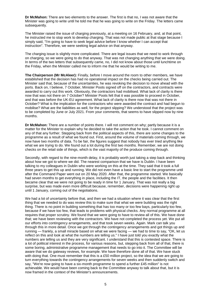**Dr McMahon:** There are two elements to the answer. The first is that no, I was not aware that the Minister was going to write until he told me that he was going to write on the Friday. The letters came subsequently.

The Minister raised the issue of charging previously, at a meeting on 16 February, and, at that point, he instructed me to stop work to develop charging. That was not made public at that stage because I simply said, "I'm going to have to seek legal advice before I know whether I can accept that instruction". Therefore, we were seeking legal advice on that anyway.

The charging issue is slightly more complicated. There are legal issues that we need to work through on charging, so we were going to do that anyway. That was not changing anything that we were doing. In terms of the two letters that subsequently came, no, I did not know about those until lunchtime on the Friday, when the Minister called me to inform me that he would be writing to me.

**The Chairperson (Mr McAleer):** Finally, before I move around the room to other members, we have established that the decision has had no operational impact on the checks being carried out. The Minister said that, because of the uncertainties, he was revoking the decision to move ahead with the ports. Back on, I believe, 7 October, Minister Poots signed off on the contractors, and contracts were awarded to carry out this work. Obviously, the contractors had mobilised. What lack of clarity is there now that was not there on 7 October? Minister Poots felt that it was possible to proceed in October, and that was before the UK-EU agreement. What lack of clarity is there now that was not there in October? What is the implication for the contractors who were awarded the contract and had begun to mobilise? What are the liabilities as well, for the project slipping? We understood that the project was to be completed by June or July 2021. From your comments, that seems to have slipped now by nine months.

**Dr McMahon:** There are a number of points there. I will not comment on why; partly because it is a matter for the Minister to explain why he decided to take the action that he took. I cannot comment on any of that any further. Stepping back from the political aspects of this, there are some changes to the programme as a result of what we found out. First, around the volume of materials coming through, we now have two months of data. To be fair, the figures suggest that nobody has ever tried anything like what we are trying to do. We found out a lot during the first two months. Remember, we are not doing checks on the retail side of things, which is the vast majority of the produce coming through.

Secondly, with regard to the nine-month delay, it is probably worth just taking a step back and thinking about how we got to where we did. The nearest comparison that we have is Dublin. I have been talking to my colleagues in Dublin who were working on this at the time. They said that it took a full three years to get this up and running. We did not even have a basic line to start the programme until after the Command Paper went out on 20 May 2020. After that, the programme started. We basically had seven months to get everything in place, including the IT, the people and the facilities. It then became clear that we were not going to be ready in time for 1 January. That was not really a big surprise, but was made even more difficult because, remember, decisions were happening right up until 1 January, coming out of the negotiations.

We had a lot of uncertainty before that, and then we had a situation where it was clear that the first thing that we needed to do was review this to make sure that what we were building was the right thing. There is no point in building something that has too many or too few bays, particularly too few, because if we have too few, that leads to problems with physical checks. Any normal programme at all requires that proper scrutiny. We found that we were going to have to review all of this. We have done that; we have been reviewing with the contractors. We have not completed the process yet. We put all our efforts into contingency arrangements, and that took seven weeks. Again. Mark can talk you through this in more detail. Once we got through the contingency arrangements and got things up and running — frankly, a small miracle based on what we were facing — we had to time to say, "OK, let us reflect on this and look at what the numbers are telling us." I have just told you exactly what the numbers are telling us and they are very significant. I understand that this is contested space. There is a lot of political interest in the process, for various reasons, but, stepping back from all of that, there is some boring, administrative programme management that needs to go into it. The Committee will be aware that we do gateway reviews, for example. We have therefore done all of that. We have stuck with doing that. One must remember that this is a £50 million project, so the idea that we are going to turn everything towards the contingency arrangements for seven weeks and then suddenly switch and say, "We're now going to have a six-month programme to spend a further £45 million" is not achievable. We would have been coming back to the Committee anyway to talk about that, but it is now framed in the context of the Minister's announcements.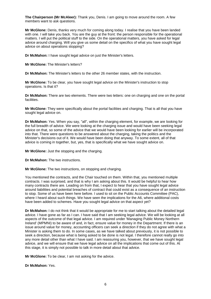**The Chairperson (Mr McAleer):** Thank you, Denis. I am going to move around the room. A few members want to ask questions.

**Mr McGlone:** Denis, thanks very much for coming along today. I realise that you have been landed with one. I will take you back. You are the guy at the front: the person responsible for the operational matters. I will put the political stuff to the side. On the operational matters, you have asked for legal advice around charging. Will you give us some detail on the specifics of what you have sought legal advice on about operations stopping?

**Dr McMahon:** I have sought legal advice on just the Minister's letters.

**Mr McGlone:** The Minister's letters?

**Dr McMahon:** The Minister's letters to the other 26 member states, with the instruction.

**Mr McGlone:** To be clear, you have sought legal advice on the Minister's instruction to stop operations. Is that it?

**Dr McMahon:** There are two elements. There were two letters: one on charging and one on the portal facilities.

**Mr McGlone:** They were specifically about the portal facilities and charging. That is all that you have sought legal advice on.

**Dr McMahon:** Yes. When you say, "all", within the charging element, for example, we are looking for the full breadth of advice. We were looking at the charging issue and would have been seeking legal advice on that, so some of the advice that we would have been looking for earlier will be incorporated into that. There were questions to be answered about the charging, taking the politics and the Minister's decisions out of it. We would have been doing that anyway. To some extent, all of that advice is coming in together, but, yes, that is specifically what we have sought advice on.

**Mr McGlone:** Just the stopping and the charging.

**Dr McMahon:** The two instructions.

**Mr McGlone:** The two instructions, on stopping and charging.

You mentioned the contracts, and the Chair touched on them. Within that, you mentioned multiple contracts. I was surprised, and that is why I am asking about this. It would be helpful to hear how many contracts there are. Leading on from that, I expect to hear that you have sought legal advice around liabilities and potential breaches of contract that could exist as a consequence of an instruction to stop. Some of us have been here before. I used to sit on the Public Accounts Committee (PAC), where I heard about such things. We have seen the implications for the A6, where additional costs have been added to schemes. Have you sought legal advice on that aspect yet?

**Dr McMahon:** I do not think that it would be appropriate for me to start talking about the detailed legal advice. I have gone as far as I can. I have said that I am seeking legal advice. We will be looking at all aspects of the outcome of that legal advice. I am required under 'Managing Public Money Northern Ireland' (MPMNI) to be aware of and, in fact, ensure value for money in the Department. If there is an issue around value for money, accounting officers can seek a direction if they do not agree with what a Minister is asking them to do. In some cases, as we have talked about previously, it is not possible to seek a direction, because what is being asked to be done is not legal. I therefore cannot really go into any more detail other than what I have said. I am reassuring you, however, that we have sought legal advice, and we will ensure that we have legal advice on all the implications that come out of this. At this stage, it is simply not possible to talk in more detail about that advice.

**Mr McGlone:** To be clear, I am not asking for the advice.

**Dr McMahon:** Yes.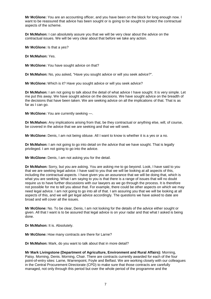**Mr McGlone:** You are an accounting officer, and you have been on the block for long enough now. I want to be reassured that advice has been sought or is going to be sought to protect the contractual aspects of the scheme.

**Dr McMahon:** I can absolutely assure you that we will be very clear about the advice on the contractual issues. We will be very clear about that before we take any action.

**Mr McGlone:** Is that a yes?

**Dr McMahon:** Yes.

**Mr McGlone:** You have sought advice on that?

**Dr McMahon:** No, you asked, "Have you sought advice or will you seek advice?".

**Mr McGlone:** Which is it? Have you sought advice or will you seek advice?

**Dr McMahon:** I am not going to talk about the detail of what advice I have sought. It is very simple. Let me put this away. We have sought advice on the decisions. We have sought advice on the breadth of the decisions that have been taken. We are seeking advice on all the implications of that. That is as far as I can go.

**Mr McGlone:** You are currently seeking —.

**Dr McMahon:** Any implications arising from that, be they contractual or anything else, will, of course, be covered in the advice that we are seeking and that we will seek.

**Mr McGlone:** Denis, I am not being obtuse. All I want to know is whether it is a yes or a no.

**Dr McMahon:** I am not going to go into detail on the advice that we have sought. That is legally privileged. I am not going to go into the advice.

**Mr McGlone:** Denis, I am not asking you for the detail.

**Dr McMahon:** Sorry, but you are asking. You are asking me to go beyond. Look, I have said to you that we are seeking legal advice. I have said to you that we will be looking at all aspects of this, including the contractual aspects. I have given you an assurance that we will be doing that, which is what you are seeking. What I am saying to you is that there is a range of issues that will no doubt require us to have further discussions with our lawyers as we go through the process. It is therefore not possible for me to tell you about that. For example, there could be other aspects on which we may need legal advice. I am not going to go into all of that. I am assuring you that we will be looking at all aspects of this, and we will get legal advice accordingly. The questions we have asked to date are broad and will cover all the issues.

**Mr McGlone:** No. To be clear, Denis, I am not looking for the details of the advice either sought or given. All that I want is to be assured that legal advice is on your radar and that what I asked is being done.

**Dr McMahon:** It is. Absolutely.

**Mr McGlone:** How many contracts are there for Larne?

**Dr McMahon:** Mark, do you want to talk about that in more detail?

**Mr Mark Livingstone (Department of Agriculture, Environment and Rural Affairs):** Morning, Patsy. Morning, Denis. Morning, Chair. There are contracts currently awarded for each of the four point-of-entry sites: Larne, Warrenpoint, Foyle and Belfast. We are working closely with our colleagues in the Central Procurement Directorate (CPD) to make sure that those contracts are carefully managed, not only through this period but over the whole period of the programme and the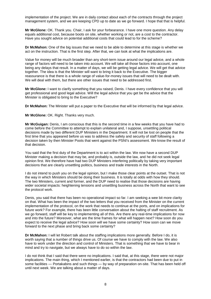implementation of the project. We are in daily contact about each of the contracts through the project management system, and we are keeping CPD up to date as we go forward. I hope that that is helpful.

**Mr McGlone:** OK. Thank you. Chair, I ask for your forbearance. I have one more question. Any delay equals additional cost, because boots on site, whether working or not, are a cost to the contractor. Have you sought advice on potential additional costs that could lead to for the scheme?

**Dr McMahon:** One of the big issues that we need to be able to determine at this stage is whether we act on the instruction. That is the first step. After that, we can look at what the implications are.

Value for money will be much broader than any short-term issue around our legal advice, and a whole range of factors will need to be taken into account. We will take all those factors into account, one being any delays that result. In a matter of days, we will be getting legal advice. We will get that advice together. The idea is that the Minister will want to bring it back to the Executive. The bigger reassurance is that there is a whole range of value-for-money issues that will need to be dealt with. We will deal with them, but there are other issues that need to be addressed first.

**Mr McGlone:** I want to clarify something that you raised, Denis. I have every confidence that you will get professional and good legal advice. Will the legal advice that you get be the advice that the Minister is obligated to bring to the Executive?

**Dr McMahon:** The Minister will put a paper to the Executive that will be informed by that legal advice.

**Mr McGlone:** OK. Right. Thanks very much.

**Mr McGuigan:** Denis, I am conscious that this is the second time in a few weeks that you have had to come before the Committee to attempt to explain unilateral and, I suppose, unsettling political decisions made by two different DUP Ministers in the Department. It will not be lost on people that the first time that you appeared before us was to address the safety and security of staff following a decision taken by then Minister Poots that went against the PSNI's assessment. We know the result of that decision.

You said that the first duty of the Department is to act within the law. We now have a second DUP Minister making a decision that may be, and probably is, outside the law, and he did not seek legal opinion first. We therefore have had two DUP Ministers interfering politically by taking very important decisions that are clearly unsettling politics, business and trade interests in the North.

I do not intend to push you on the legal opinion, but I make those clear points at the outset. That is not the way in which Ministers should be doing their business. It is totally at odds with how they should. The two Ministers, current and former, and the DUP need to realise that those decisions are having wider societal impacts: heightening tensions and unsettling business across the North that want to see the protocol work.

Denis, you said that there has been no operational impact so far. I am seeking a wee bit more clarity on that. What has been the impact of the two letters that you received from the Minister on the current implementation of the protocol, on the work that needs to continue at the ports, and on implications for future work? For example, there has been little conversation about the halting of staff recruitment. As we go forward, staff will be key to implementing all of this. Are there any real-time implications for now and into the future? Moreover, what are the time frames for what will happen next? How soon do you expect to receive the legal advice? How soon will we have some certainty? How soon can we move forward to the next phase and bring back some certainty?

**Dr McMahon:** I will let Robert talk about the staffing implications more generally. Before I do, it is worth saying that a number of things drive us. Of course we have to comply with the law. We also have to work under the direction and control of Ministers. That is something that we have to bear in mind and try to navigate, but we always have to do so within the law.

I do not think that I said that there were no implications. I said that, at this stage, there were not major implications. The main thing, which I mentioned earlier, is that the contractors had been due to put in some facilities — Portakabins and such things — by way of preparation on-site. That has been held off until next week. We are talking about a matter of days.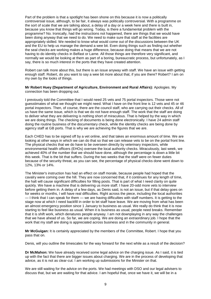Part of the problem is that a spotlight has been shone on this because it is now a politically controversial issue, although, to be fair, it always was politically controversial. With a programme on the sort of scale that we are talking about, a delay of a day or a week here and there is built in, because you know that things will go wrong. Today, is there a fundamental problem with the programme? No. Ironically, had the instructions not happened, there are things that we would have been doing anyway that we need to do. We need to make sure that staff at the facilities are appropriately skilled. We needed to know what would come out of the discussions between the UK and the EU to help us manage the demand a wee bit. Even doing things such as finding out whether the seal checks are working makes a huge difference, because doing that means that we are not having to do identity checks in Belfast or Larne. All those things are therefore very significant, and normally we would be looking at them as part of a boring, bureaucratic process, but unfortunately, as I say, there is so much interest in the ports that they have created attention.

Robert can talk more about this, but there is an issue anyway with staff. We have an issue with getting enough staff. Robert, do you want to say a wee bit more about that, if you are there? Robert? I am on my own by the looks of things.

#### **Mr Robert Huey (Department of Agriculture, Environment and Rural Affairs):** Apologies. My connection has been dropping out.

I previously told the Committee that I would need 25 vets and 75 portal inspectors. Those were not guesstimates of what we thought we might need. What I have on the front line is 12 vets and 45 or 46 portal inspectors. Then, of course, there are the council staff, who are carrying out their checks. All of us have the same issue, which is that we do not have enough staff. The work that the staff are doing to deliver what they are delivering is nothing short of miraculous. That is helped by the way in which we are doing things. The checking of documents is being done electronically. I have 24 admin staff doing the routine business of the documentary check, while the identity checks are being done by agency staff at GB ports. That is why we are achieving the figures that we are.

Each CHED has to be signed off by a vet online, and that takes an enormous amount of time. We are looking at other ways in which we can do that so that we can release vets to be on the portal front line. The physical checks that we do have to be overseen directly by veterinary inspectors, while environmental health officers (EHOs) oversee the local authority checks. Miraculously, last week, we achieved 40% of the number that we should have done, although the percentage is down a little bit this week. That is the bit that suffers. During the two weeks that the staff were on fewer duties because of the security threat, as you can see, the percentage of physical checks done went down to 12%, 13% or 14%.

The Minister's instruction has had an effect on staff morale, because people had hoped that the cavalry were coming over the hill. They are now concerned that, if it continues for any length of time, the halt will cause significant difficulties for filling posts. That is part of what I need clarity on quite quickly. We have a machine that is delivering us more staff. I have 20-odd more vets to interview before getting them in. A delay of a few days, as Denis said, is not an issue, but if that delay goes on for weeks or months, I will have real difficulties. Right across the piece, including the local authorities — I think that I can speak for them — we are having difficulties with staff numbers. It is getting to the stage now at which I need backfill in order to let staff have leave. We are moving from what has been an almost emergency position since 1 January to business as usual. We really do think that it is now starting to feel like business as usual. When it is business as usual, people need breaks. Remember that it is shift work, which denatures people anyway. I am not downplaying in any way the challenges that we have ahead of us. So far, we are coping. We are doing an extraordinary job. I hope that the work that my staff are doing is appreciated across business and in the community in general.

**Mr McGuigan:** It is certainly appreciated by the members of the Committee, Robert. I hope that you pass that on.

Denis, will you outline the timescales for the way forward for the next while as a result of the decision?

**Dr McMahon:** We have already received some legal advice on the charging issue. As I said, it is tied up with the fact that there are bigger issues about charging. We are in the process of developing that advice, as it is not as clear-cut. I am working up submissions for the Minister on that.

We are still waiting for the advice on the ports. We had meetings with DSO and our legal advisers to discuss that, but we are waiting for that advice. I am hopeful that, once we have it, we will be in a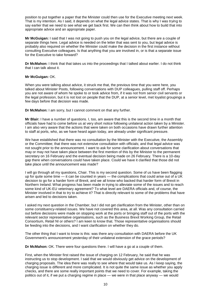position to put together a paper that the Minister could then use for the Executive meeting next week. That is my intention. As I said, it depends on what the legal advice states. That is why I was trying to say earlier that we need to see what we get back first. We can then think about how to build that into appropriate advice and an appropriate paper.

**Mr McGuigan:** I said that I was not going to push you on the legal advice, but there are a couple of separate things here. Legal advice is needed on the letter that was sent to you, but legal advice is probably also required on whether the Minister could make the decision in the first instance without consulting Executive colleagues. Is that anything that you are involved in, or is that a separate issue for the Executive to take forward?

**Dr McMahon:** I think that that takes us into the proceedings that I talked about earlier. I do not think that I can talk about it.

#### **Mr McGuigan:** OK.

When you were talking about advice, it struck me that, the previous time that you were here, you talked about Minister Poots, following conversations with DUP colleagues, pulling staff off. Perhaps you are not aware of whom he spoke to or took advice from, if it was not from senior civil servants or the legal profession, but it is not lost on people that the DUP, at a senior level, met loyalist groupings a few days before that decision was made.

**Dr McMahon:** I am sorry, but I cannot comment on that any further.

**Mr Blair:** I have a number of questions. I, too, am aware that this is the second time in a month that officials have had to come before us at very short notice following unilateral action taken by a Minister. I am also very aware that the actions that were taken on both occasions have drawn further attention to staff at ports, who, as we have heard again today, are already under significant pressure.

We have established that there was no consultation by the Minister with the Executive, the Assembly or the Committee; that there was not extensive consultation with officials; and that legal advice was not sought prior to the announcement. I want to ask for some clarification about conversations that may or may not have taken place between the first mention of this by the Minister to the permanent secretary on 16 February and the eventual decision being made on 26 February. There is a 10-day gap there when conversations could have taken place. Could we have it clarified that those did not take place until the announcement was made?

I will go through all my questions, Chair. This is my second question. Some of us have been flagging up for quite some time — it can be counted in years — the complications that could arise out of a UK decision to go for a harder form of Brexit, and we all know who backed that harder form of Brexit in Northern Ireland. What progress has been made in trying to alleviate some of the issues and to reach some kind of UK-EU veterinary agreement? To what level are DAERA officials and, of course, the Minister involved in that to try to achieve it? That is directly relevant to some of the problems that have arisen and led to decisions taken.

I asked my next question in the Chamber, but I did not get clarification from the Minister, other than on some constituency-related issues. We have not covered this area, at all. Was any consultation carried out before decisions were made on stopping work at the ports or bringing staff out of the ports with the relevant sector representative organisations, such as the Business Brexit Working Group, the Retail Consortium, Retail NI or others? I am keen to know that. Those representative organisations should be feeding into the decisions, and I want clarification on whether they do.

The other thing that I want to know is this: was there any consultation with DAERA before the UK Government's announcement yesterday of their unilateral extension of the grace periods?

**Dr McMahon:** OK. There were four questions there. I will have a go at a couple of them.

First, when the Minister first raised the issue of charging on 12 February, he said that he was instructing us to stop development. I said that we would obviously get advice on the development of charging proposals. The idea there was really to see where that would take us. As I keep saying, the charging issue is different and more complicated. It is not quite the same issue as whether you apply checks, and there are some really important points that we need to cover. For example, taking the politics out of it, if we put a charging regime in place — we were in that place anyway — we would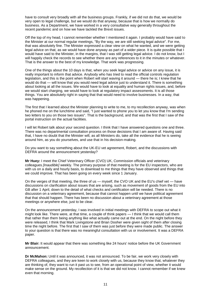have to consult very broadly with all the business groups. Frankly, if we did not do that, we would be very open to legal challenge, but we would do that anyway, because that is how we normally do business. As a Department, we have worked in a very consultative way generally throughout the recent pandemic and on how we have tackled the Brexit issues.

Off the top of my head, I cannot remember whether I mentioned it again. I probably would have said to the Minister at our normal regular meetings, "By the way, we are still seeking legal advice". For me, that was absolutely fine. The Minister expressed a clear view on what he wanted, and we were getting legal advice on that, as we would have done anyway as part of a wider piece. It is quite possible that I would have said to the Minister, in the margins, that I was still getting legal advice. I do not know, but I will happily check the records to see whether there are any references to it in the minutes or whatever. That is the answer to the best of my knowledge. That work was progressing.

One of the things about the 10 days is that, when you seek legal advice or advice on any issue, it is really important to inform that advice. Anybody who has tried to read the official controls regulation legislation, and this is the point when Robert will start waving it around — there he is; I knew that he would do that — will know that you would need legal advice just to understand it. There is something about looking at all the issues. We would have to look at equality and human rights issues, and, before we would start charging, we would have to look at regulatory impact assessments. It is all those things. You are absolutely right in saying that that would need to involve businesses. In a way, that was happening.

The first that I learned about the Minister planning to write to me, to my recollection anyway, was when he phoned me on the lunchtime and said, "I just wanted to phone you to let you know that I'm sending two letters to you on those two issues". That is the background, and that was the first that I saw of the portal instruction on the actual facilities.

I will let Robert talk about your second question. I think that I have answered questions one and three. There was no departmental consultation process on those decisions that I am aware of. Having said that, I have no doubt that the Minister will, as all Ministers do, take all the evidence that he is seeing around him, as you do yourselves, and use that in his decision-making.

Do you want to say something about the UK-EU vet agreement, Robert, and the discussions with DEFRA around the announcement yesterday?

**Mr Huey:** I meet the Chief Veterinary Officer (CVO) UK, Commission officials and veterinary colleagues *[Inaudible]* weekly. The primary purpose of that meeting is for the EU inspectors, who are with us on a daily and hourly basis, to download to me things that they have observed and things that we could improve. That has been going on every week since 1 January.

On the verges of that meeting, the three of us — myself, the CVO UK and the EU's chief vet — have discussions on clarification about issues that are arising, such as movement of goods from the EU into GB after 1 April, down to the detail of what checks and certification will be needed. There is no discussion on a veterinary agreement, because that cannot happen until we have political agreement that that should happen. There has been no discussion about a veterinary agreement at those meetings or anywhere else, just to be clear.

On the announcement yesterday, I was involved in initial meetings with DEFRA to scope out what it might look like. There were, at that time, a couple of think papers — I think that we would call them that rather than them being anything like what actually came out at the end. On the night before they were released, I think that Mark Livingstone and Brian Dooher were given sight of them after closing time the night before. The first that I saw of them was just before they were made public. The answer to your question is that there was no meaningful consultation with us or involvement. It was a DEFRA paper.

**Mr Blair:** It would appear that there was something like 24 hours' notice before the UK Government announcement.

**Dr McMahon:** Until it was announced, it was not announced. To be fair, we work very closely with DEFRA colleagues, and they are keen to work closely with us, because they know that, whatever they are thinking of, they want to run it past us to see, from an operational point of view, whether it would make sense on the ground. My recollection of it is that we did not know. I cannot remember if we knew even that morning.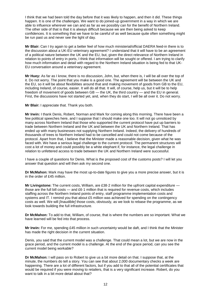I think that we had been told the day before that it was likely to happen, and then it did. These things happen. It is one of the challenges. We want to do joined-up government in a way in which we are able to influence wherever we can and as far as we possibly can for the benefit of Northern Ireland. The other side of that is that it is always difficult because we are then being asked to keep confidences. It is something that we have to be careful of as well because quite often something might be run past us and never see the light of day.

**Mr Blair:** Can I try again to get a better feel of how much ministerial/official DAERA feed-in there is to the discussion about a UK-EU veterinary agreement? I understand that it will have to be an agreement of a political nature between the UK and the EU, but, given the direct relevance of Northern Ireland in relation to points of entry in ports, I think that information will be sought or offered. I am trying to clarify how much information and detail with regard to the Northern Ireland situation is being fed to that UK-EU conversation around a veterinary agreement.

**Mr Huey:** As far as I know, there is no discussion, John, but, when there is, I will be all over the top of it. Do not worry. The point that you make is a good one. The agreement will be between the UK and the EU, so it will be about flexibilities around that and making movement of goods from GB to the EU, including Ireland, of course, easier. It will do all that. It will, of course, help us, but it will be to help freedom of movement of goods between GB — the UK, the third country — and the EU in general. First, the discussions have not started yet, and, when they do start, I will be all over it. Do not worry.

**Mr Blair:** I appreciate that. Thank you both.

**Mr Irwin:** I thank Denis, Robert, Norman and Mark for coming along this morning. There have been a few political speeches here, and I suppose that I should make one too. It will not go unnoticed by many across Northern Ireland that those who supported the current protocol have put up barriers to trade between Northern Ireland and the UK and between the UK and Northern Ireland. That has ended up with many businesses not supplying Northern Ireland. Indeed, the delivery of hundreds of thousands of trees to Northern Ireland had to be cancelled and could not come because of the protocol. Apart from that, I believe that the Minister made a reasonable decision, given what he was faced with. We have a serious legal challenge to the current protocol. The permanent structures will cost a lot of money and could possibly be a white elephant if, for instance, the legal challenge in relation to unfettered access to trade between the UK and Northern Ireland were successful.

I have a couple of questions for Denis. What is the proposed cost of the customs posts? I will let you answer that question and will then ask my second one.

**Dr McMahon:** Mark may have the most up-to-date figures to give you a more precise answer, but it is in the order of £45 million.

**Mr Livingstone:** The current costs, William, are £38·2 million for the upfront capital expenditure those are the full bill costs — and £6·1 million that is required for revenue costs, which includes staffing across the Northern Ireland points of entry, staff programme implementation costs and systems and IT. I remind you that about £5 million was achieved for spending on the contingency costs as well. We will *[Inaudible]* those costs, obviously, as we look to rebase the programme, as we look towards building the full infrastructure.

**Dr McMahon:** To add to that, William, of course, that is where the numbers are so important. What we have learned will be fed into that process.

**Mr Irwin:** For me, spending £45 million in such uncertainty would be daft, and I think that the Minister has made the right decision in the current situation.

Denis, you said that the current model was a challenge. That could mean a lot, but we are now in the grace period, and the current model is a challenge. At the end of the grace period, can you see the current model being workable?

**Dr McMahon:** I will pass on to Robert to give us a bit more detail on that. I suppose that, at the minute, the numbers do tell a story. You can see that about 2,000 documentary checks a week are happening. There are a lot of different factors, but if you add to that all of the potential certificates that would be required if you were moving to retailers, that is a very significant increase. Robert, do you want to talk in a bit more detail about that?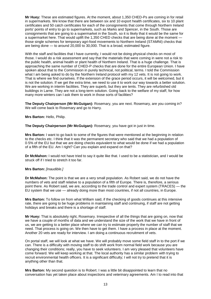**Mr Huey:** These are estimated figures. At the moment, about 1,350 CHED-Ps are coming in for retail in supermarkets. We know that there are between six and 10 export health certificates, six to 10 plant certificates and 50 catch certificates for each of the consignments that come through Northern Ireland ports' points of entry to go to supermarkets, such as Marks and Spencer, in the South. Those are consignments that are going to a supermarket in the South, so it is likely that it would be the same for a supermarket here. That would uplift the 1,350 CHED checks that are being done at the moment those single schemes for temporary agri-food movements to Northern Ireland (STAMNI) checks that are being done — to around 20,000 to 30,000. That is a broad, estimated figure.

With the staff and facilities that I have currently, I would not be doing physical checks on most of those. I would do a risk assessment and say that the materials that were coming in were not a risk to the public health, animal health or plant health of Northern Ireland. That is a huge challenge. That is approaching the same number of CHED-P checks that are done for the entire European Union. I have spoken about that to the Commission in purely technical, not political, terms. I told the Commission what I am being asked to do by the Northern Ireland protocol with my 12 vets. It is not going to work. That is where we find ourselves. If the extension of the grace period occurs, it will be welcomed, but it is not the solution. If we get the extra time, we need to use it to work our way towards a better solution. We are working in interim facilities. They are superb, but they are tents. They are refurbished old buildings in Larne. They are not a long-term solution. Going back to the welfare of my staff, for how many more winters can I ask them to work in those sorts of facilities?

**The Deputy Chairperson (Mr McGuigan):** Rosemary, you are next. Rosemary, are you coming in? We will come back to Rosemary and go to Harry.

#### **Mrs Barton:** Hello, Philip.

**The Deputy Chairperson (Mr McGuigan):** Rosemary, you have got in just in time.

**Mrs Barton:** I want to go back to some of the figures that were mentioned at the beginning in relation to the checks etc. I think that it was the permanent secretary who said that we had a population of 0·5% of the EU but that we are doing checks equivalent to what would be done if we had a population of a fifth of the EU. Am I right? Can you explain and expand on that?

**Dr McMahon:** I would not have tried to say it quite like that. I used to be a statistician, and I would be struck off if I tried to stretch it too far.

#### **Mrs Barton:** *[Inaudible.]*

**Dr McMahon:** The point is that we are a very small population. As Robert said, we do not have the numbers of vets and staff relative to a population of a fifth of Europe. There is, therefore, a serious point there. As Robert said, we are, according to the trade control and expert system (TRACES) — the EU system that we use — already doing more than most countries, if not all countries, in Europe.

**Mrs Barton:** To follow on from what William said, if the checking of goods continues at this intensive rate, there are going to be huge problems in maintaining staff and continuing, if staff are not getting holidays and breaks and there is a shortage of staff.

**Mr Huey:** That is absolutely right, Rosemary. Irrespective of all the things that are going on, now that we have a couple of months of data and we understand the size of the work that we have in front of us, we are getting to a better place where we can try to estimate properly the number of staff that we need. That process is going on. We then have to get them. I have a process in place at the moment. Another 20 vets are ready for interview. I am doing a continuous recruitment of vets.

On portal staff, we will look at what we have. We will probably move some field staff in to the port if we can. There is a difficulty with moving staff to do shift work from normal field work because you are changing their conditions; really, you have to seek volunteers. I am very pleased that volunteers have come forward. We will keep working at that. The local authority has a similar problem with trying to recruit environmental health officers. It is a significant difficulty; I will not try to pretend that it is anything other than that.

**Mrs Barton:** My second question is to Robert. I was a little bit disappointed to learn that no conversation has yet taken place about inspections and veterinary agreements. Am I to read into that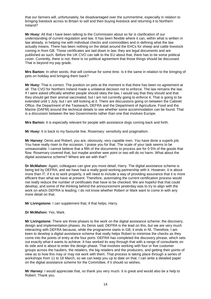that our farmers will, unfortunately, be disadvantaged over the summertime, especially in relation to bringing livestock across to Britain to sell and then buying livestock and returning it to Northern Ireland?

**Mr Huey:** All that I have been talking to the Commission about so far is clarification of our understanding of current regulation and law. It has been flexible where it can, within what is written in law already, in helping me with individual checks and commodities and in defining what the law actually means. There has been nothing on the detail around the EHCs for sheep and cattle livestock coming in from GB. Those certificates are laid down in law; they are legal documents and are published as such. Before the UK CVO can talk to the EU about that, there has to be some political cover. Currently, there is not; there is no political agreement that those things should be discussed. That is beyond my pay grade.

**Mrs Barton:** In other words, that will continue for some time. Is it the same in relation to the bringing of pets on holiday and bringing them back?

**Mr Huey:** That is correct. The position on pets at the moment is that there has been no agreement at all. The CVO for Northern Ireland made a unilateral decision not to enforce. The law remains the law. If I were asked officially whether people should obey the law, I would say that they should and that they should get their animal vaccinated, but I am not currently going to enforce it. That is going to be extended until 1 July, but I am still looking at it. There are discussions going on between the Cabinet Office, the Department of the Taoiseach, DEFRA and the Department of Agriculture, Food and the Marine (DAFM) around the technical details to see whether some accommodation can be found. That is a discussion between the two Governments rather than one that involves Europe.

**Mrs Barton:** It is especially relevant for people with assistance dogs coming back and forth.

**Mr Huey:** It is back to my favourite line, Rosemary: sensitivity and pragmatism.

**Mr Harvey:** Denis and Robert, you are, obviously, very capable men. You have done a superb job. You have really risen to the occasion. I praise you for that. The scale of your task seems to be unreasonable. I cannot believe that a fifth of the documents to process are for 0·5% of the goods that flow. Rosemary covered that, but maybe another wee point or two will do no harm. What about the digital assistance scheme? Where are we with that?

**Dr McMahon:** Again, colleagues can give you more detail, Harry. The digital assistance scheme is being led by DEFRA, and we have had a really good working partnership with it. However, it is about more than IT; if it is to work properly, it will need to include a way of providing assurance that it is more efficient than what we have at present. Therefore, automating the current certification process would not really reduce the number of certificates that have to be checked. We are hopeful that that could develop, and some of the thinking behind the announcement yesterday was to try to align with the work on which DEFRA is leading. I do not know whether Robert or Mark want to come in with any more detail on that.

**Mr Livingstone:** I can supplement that, if that helps, Harry.

#### **Dr McMahon:** Yes, Mark.

**Mr Livingstone:** There are three phases to the work on the digital assistance scheme: the discovery, design and implementation phases. As Denis said, DEFRA is the lead on this, but we are very much interacting with DEFRA because, while the programme starts in GB, it ends in NI. Therefore, I am keen to develop a digital assistance scheme that really helps Robert to minimise the checks as they come into the points of entry at the four ports. DEFRA has completed the discovery phrase, which sets out exactly what it wants to achieve. It has worked its way through that with a range of consultants on its side and is about to enter the design phase. That involves working with four or five customer groups across the hauliers, the retailers, the big retailers and the producers, and getting their points of view as to how this may or may not work with them. That process is taking place through a series of workshops from 11 to 18 March, so we can keep you up to date on that. I can write a detailed paper on the digital assistance scheme for the Committee, if it should so wishes.

**Mr Harvey:** I would appreciate that, so thank you very much. It is great and would also be a help to Robert. Thank you.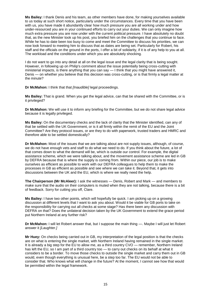**Ms Bailey:** I thank Denis and his team, as other members have done, for making yourselves available to us today at such short notice, particularly under the circumstances. Every time that you have been with us, you have made it abundantly clear how much pressure you are all working under and how under-resourced you are in your continued efforts to carry out your duties. We can only imagine how much extra pressure you are now under with the current political pressure. I have absolutely no doubt that, as the new Minister took up his post, you briefed him on the challenges that you continue to face. While he has to date been too busy to come and meet the Committee to discuss his priorities, we can now look forward to meeting him to discuss that as dates are being set. Particularly for Robert, his staff and the officials on the ground in the ports, I offer a bit of solidarity, if it is of any help to you at all. The workload and the conditions under which you are absolutely shocking.

I do not want to go into any detail at all on the legal issue and the legal clarity that is being sought. However, in following up on Philip's comment about the issue potentially being cross-cutting with ministerial impacts, is there anything that you can say — I think that you might have answered it, Denis — on whether you believe that this decision was cross-cutting, or is that firmly a legal matter at the minute?

**Dr McMahon:** I think that that *[Inaudible]* legal proceedings.

**Ms Bailey:** That is grand. When you get the legal advice, can that be shared with the Committee, or is it privileged?

**Dr McMahon:** We will use it to inform any briefing for the Committee, but we do not share legal advice because it is legally privileged.

**Ms Bailey:** On the documentary checks and the lack of clarity that the Minister identified, can any of that be settled with the UK Government, or is it all firmly within the remit of the EU and the Joint Committee? Are they protocol issues, or are they to do with paperwork, trusted traders and HMRC and therefore able to be settled domestically?

**Dr McMahon:** Most of the issues that we are talking about are not supply issues, although, of course, we do not have enough vets and staff to do what we need to do. If you think about the future, a lot of that comes down to what the demand will be, which is outside our control. For example, the digital assistance scheme, which we were talking about, and the movement assistance scheme are led in GB by DEFRA because that is where the supply is coming from. Within our piece, our job is to make ourselves as efficient as possible to work with our DEFRA colleagues to help them to make the processes in GB as efficient as possible and see where we can take it. Beyond that, it gets into discussions between the UK and the EU, which is where we really need the help.

**The Chairperson (Mr McAleer):** I ask the witnesses — Denis, Robert and Mark — and members to make sure that the audio on their computers is muted when they are not talking, because there is a bit of feedback. Sorry for cutting you off, Clare.

**Ms Bailey:** I have two other points, which will hopefully be quick. I am picking up on a growing discussion at different levels that I want to ask you about. Would it be viable for GB ports to take on the responsibility for carrying out all checks at some stage? Has there been any discussion with DEFRA on that? Does the unilateral decision taken by the UK Government to extend the grace period put Northern Ireland at any further risk?

**Dr McMahon:** I will let Robert answer that, but I suppose the main thing —. Maybe I will just let Robert answer it *[Laughter.]* 

**Mr Huey:** On checks being carried out in GB, my interpretation of the legal position is that the checks are on what is entering the single market, with Northern Ireland having remained in the single market. It is already a big step for the EU to allow me, as a third country CVO — remember, Northern Ireland has left the EU, so I am part of a third country too — to carry out checks on its behalf at what it considers to be a border. To move those checks to outside the single market and carry them out in GB would, even though everything is unusual here, be a step too far. The EU would not be able to consider that. Who knows what will change in the future? At the moment, I cannot see how that would be permitted within the legal framework.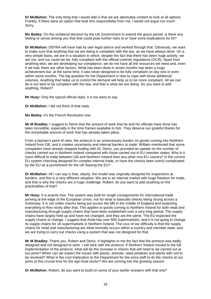**Dr McMahon:** The only thing that I would add is that we are absolutely content to look at all options. Frankly, if there were an option that took this responsibility from me, I would not argue too much. Sorry.

**Ms Bailey:** On the unilateral decision by the UK Government to extend the grace period, is there any feeling or sense among you that that could pose further risks to or have extra implications for NI?

**Dr McMahon:** DEFRA will have had its own legal advice and worked through that. Obviously, we want to make sure that anything that we are doing is compliant with the law, as we have always done. On a very simple basis, we are in a situation in which, despite the fact that there has been huge activity, we are not, and nor could we be, fully compliant with the official controls regulations (OCR). Apart from anything else, we are developing our compliance, we do not have all the resources we need and, even if we had, there are other factors. What has been done in seven months has been a huge achievement but, at the same time, it was never designed to be fully compliant on day one or even within some months. The big question for the Department is how to cope with those additional volumes. Anything that helps us to control the demand will help us to be more compliant. All we can do is our best to be compliant with the law, and that is what we are doing. Do you want to add anything, Robert?

**Mr Huey:** Only the typical official reply: it is too early to say.

**Dr McMahon:** I did not think of that reply.

**Ms Bailey:** It's the French Revolution one.

**Mr M Bradley:** I suggest to Denis that the amount of work that he and his officials have done has been incredible, especially in the time frames available to him. They deserve our grateful thanks for the remarkable amount of work that has already taken place.

From a layman's point of view, the protocol is an unnecessary burden on goods coming into Northern Ireland from GB, and it creates uncertainty and internal barriers to trade. William mentioned that some companies have already stopped trading with NI. Denis, you provided an update on the number of checks carried out in Northern Ireland compared with those carried out in EU member states. Why is it more difficult to trade between GB and Northern Ireland than any other non-EU country? Is the current EU system checking designed for complex internal trade, or have the checks been overly complicated by the EU as a punishment for the UK leaving the EU?

**Dr McMahon:** All I can say is that, clearly, the model was originally designed for inspections at borders, and this is a very different situation. We are in an internal market with huge freedom for trade, and that is why the checks are a huge challenge. Robert, do you want to add anything on the practicalities of that?

**Mr Huey:** It is exactly that. The system was built for single consignments for international trade arriving at the edge of the European Union, not for what is basically checks being strung across a motorway. It is not unlike checks being put across the M6 in the middle of England and expecting everything to flow nicely after that. This applies to goods coming to Northern Ireland for both retail and manufacturing through supply chains that have been established over a very long period. The supply chains have largely held up and have not changed, and they are the same. The EU expected the supply chains to change. I suggest that Asda has over 600 supermarkets, and it is not going to change its supply chains for 16 supermarkets in Northern Ireland. The crux of our difficulty is that the supply chains for retail and manufacturing are what normally occurs within a country and member state, and we are trying to carry out checks using a system that was not designed for that.

**Mr M Bradley:** Thank you, Robert and Denis. It highlights to me the fact that the protocol was badly designed and not designed to work. I will stick with the protocol. If Northern Ireland moved to the full implementation of the protocol, what will be the increase in checks that will need to be carried out at our ports? When can we expect the issues with plants, animals, seed potatoes and plants with soil to be resolved? What is the cost implication to the Department for the extra staff to do the checks at our ports at this crucial time for the agri-food sector? We are coming into the growing season.

**Dr McMahon:** Robert, do you want to build on some of your earlier answers with that one?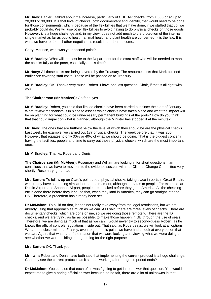**Mr Huey:** Earlier, I talked about the increase, particularly of CHED-P checks, from 1,300 or so up to 20,000 or 30,000. It is that level of checks, both documentary and identity, that would need to be done for those consignments, which, because of the flexibilities that we have done, if we staffed that up, we probably could do. We will use other flexibilities to avoid having to do physical checks on those goods. However, it is a huge challenge and, in my view, does not add much to the protection of the internal single market as far as public health, animal health and plant health are concerned. It is the law. It is what we have to do until other negotiations result in another outcome.

Sorry, Maurice, what was your second point?

**Mr M Bradley:** What will the cost be to the Department for the extra staff who will be needed to man the checks fully at the ports, especially at this time?

**Mr Huey:** All those costs are being covered by the Treasury. The resource costs that Mark outlined earlier are covering staff costs. Those will be passed on to Treasury.

**Mr M Bradley:** OK. Thanks very much, Robert. I have one last question, Chair, if that is all right with you.

**The Chairperson (Mr McAleer):** Go for it, yes.

**Mr M Bradley:** Robert, you said that limited checks have been carried out since the start of January. What review mechanism is in place to assess which checks have taken place and what the impact will be on planning for what could be unnecessary permanent buildings at the ports? How do you think that that could impact on what is planned, although the Minister has stopped it at the minute?

**Mr Huey:** The ones that are furthest below the level at which they should be are the physical checks. Last week, for example, we carried out 137 physical checks. The week before that, it was 206. However, that equates to only 30% or 40% of what we should be doing. That is the biggest concern: having the facilities, people and time to carry out those physical checks, which are the most important ones.

**Mr M Bradley:** Thanks, Robert and Denis.

**The Chairperson (Mr McAleer):** Rosemary and William are looking in for short questions. I am conscious that we have to move on to the evidence session with the Climate Change Committee very shortly. Rosemary, go ahead.

**Mrs Barton:** To follow up on Clare's point about physical checks taking place in ports in Great Britain, we already have something similar here at the moment, although it relates to people. For example, at Dublin Airport and Shannon Airport, people are checked before they go to America. All the checking etc is done there before they land, so that, when they land in America, they can go straight into the US. Therefore, a precedent has already been set.

**Dr McMahon:** To build on that, it does not really take away from the legal restrictions, but we are already using that approach as much as we can. As I said, there are three levels of checks. There are documentary checks, which are done online, so we are doing those remotely. There are the ID checks, and we are trying, as far as possible, to make those happen in GB through the use of seals. Therefore, we are doing as much of that as we can. I would never try to second-guess Robert, as he knows the official controls regulations inside out. That said, as Robert says, we will look at all options. We are not close-minded. Frankly, even to get to this point, we have had to look at every option that we can. Again, that was part of the reason that we were looking at reviewing what we were doing to see whether we were building the right thing for the right purpose.

**Mrs Barton:** OK. Thank you.

**Mr Irwin:** Robert and Denis have both said that implementing the current protocol is a huge challenge. Can they see the current protocol, as it stands, working after the grace period ends?

**Dr McMahon:** You can see that each of us was fighting to get in to answer that question. You would expect me to give a boring official answer because, to be fair, there are a lot of unknowns in that.